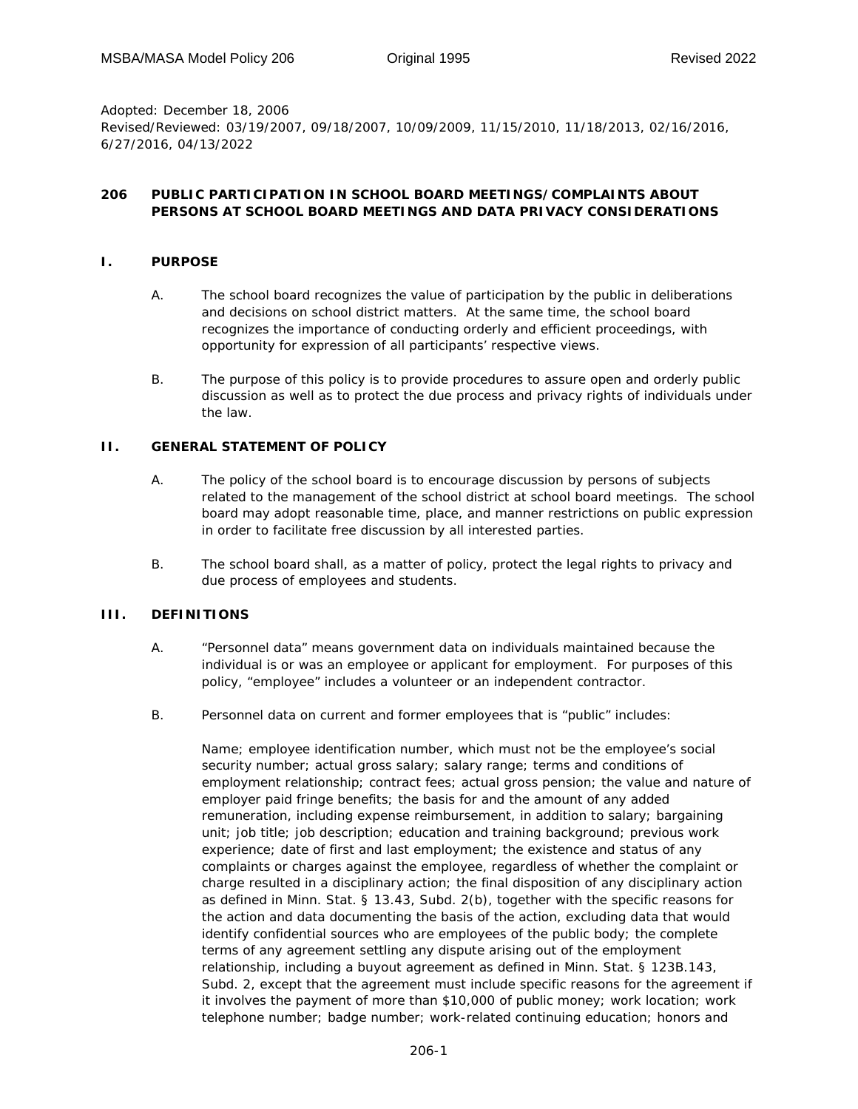*Adopted:* December 18, 2006 *Revised/Reviewed:* 03/19/2007, 09/18/2007, 10/09/2009, 11/15/2010, 11/18/2013, 02/16/2016, 6/27/2016, 04/13/2022

### **206 PUBLIC PARTICIPATION IN SCHOOL BOARD MEETINGS/COMPLAINTS ABOUT PERSONS AT SCHOOL BOARD MEETINGS AND DATA PRIVACY CONSIDERATIONS**

### **I. PURPOSE**

- A. The school board recognizes the value of participation by the public in deliberations and decisions on school district matters. At the same time, the school board recognizes the importance of conducting orderly and efficient proceedings, with opportunity for expression of all participants' respective views.
- B. The purpose of this policy is to provide procedures to assure open and orderly public discussion as well as to protect the due process and privacy rights of individuals under the law.

## **II. GENERAL STATEMENT OF POLICY**

- A. The policy of the school board is to encourage discussion by persons of subjects related to the management of the school district at school board meetings. The school board may adopt reasonable time, place, and manner restrictions on public expression in order to facilitate free discussion by all interested parties.
- B. The school board shall, as a matter of policy, protect the legal rights to privacy and due process of employees and students.

#### **III. DEFINITIONS**

- A. "Personnel data" means government data on individuals maintained because the individual is or was an employee or applicant for employment. For purposes of this policy, "employee" includes a volunteer or an independent contractor.
- B. Personnel data on current and former employees that is "public" includes:

Name; employee identification number, which must not be the employee's social security number; actual gross salary; salary range; terms and conditions of employment relationship; contract fees; actual gross pension; the value and nature of employer paid fringe benefits; the basis for and the amount of any added remuneration, including expense reimbursement, in addition to salary; bargaining unit; job title; job description; education and training background; previous work experience; date of first and last employment; the existence and status of any complaints or charges against the employee, regardless of whether the complaint or charge resulted in a disciplinary action; the final disposition of any disciplinary action as defined in Minn. Stat. § 13.43, Subd. 2(b), together with the specific reasons for the action and data documenting the basis of the action, excluding data that would identify confidential sources who are employees of the public body; the complete terms of any agreement settling any dispute arising out of the employment relationship, including a buyout agreement as defined in Minn. Stat. § 123B.143, Subd. 2, except that the agreement must include specific reasons for the agreement if it involves the payment of more than \$10,000 of public money; work location; work telephone number; badge number; work-related continuing education; honors and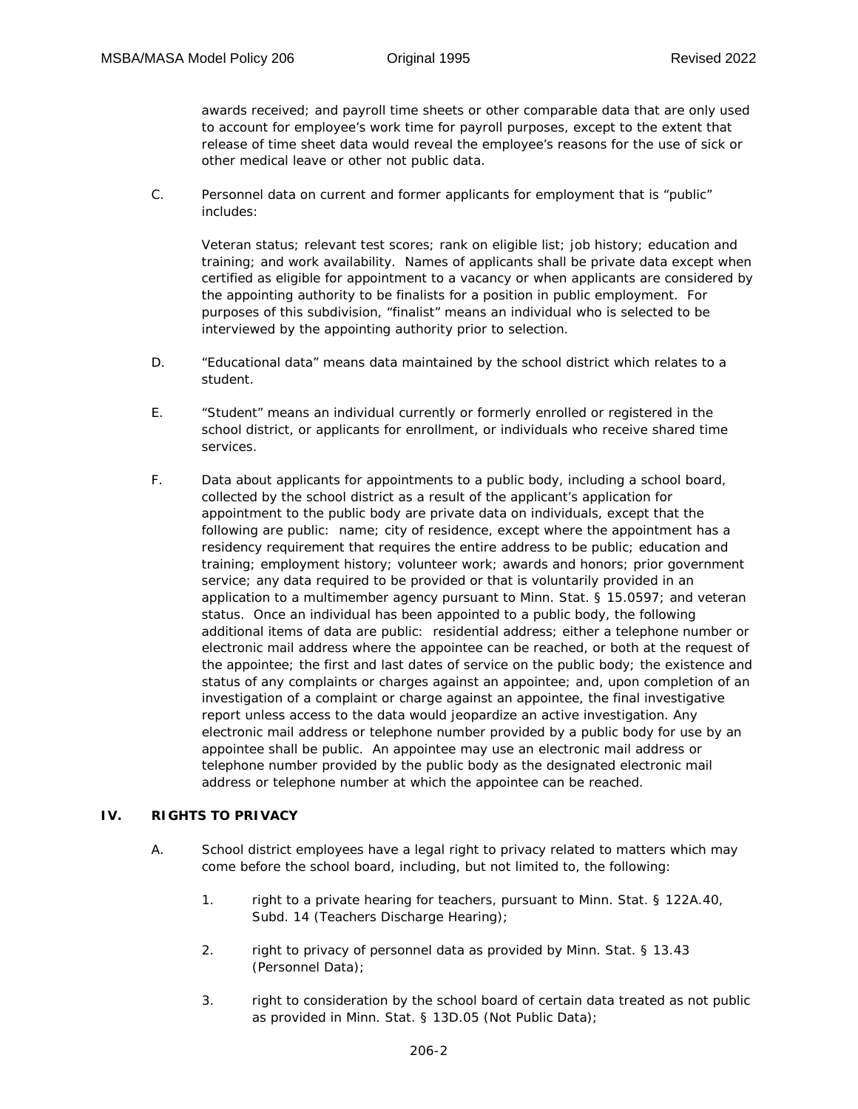awards received; and payroll time sheets or other comparable data that are only used to account for employee's work time for payroll purposes, except to the extent that release of time sheet data would reveal the employee's reasons for the use of sick or other medical leave or other not public data.

C. Personnel data on current and former applicants for employment that is "public" includes:

Veteran status; relevant test scores; rank on eligible list; job history; education and training; and work availability. Names of applicants shall be private data except when certified as eligible for appointment to a vacancy or when applicants are considered by the appointing authority to be finalists for a position in public employment. For purposes of this subdivision, "finalist" means an individual who is selected to be interviewed by the appointing authority prior to selection.

- D. "Educational data" means data maintained by the school district which relates to a student.
- E. "Student" means an individual currently or formerly enrolled or registered in the school district, or applicants for enrollment, or individuals who receive shared time services.
- F. Data about applicants for appointments to a public body, including a school board, collected by the school district as a result of the applicant's application for appointment to the public body are private data on individuals, except that the following are public: name; city of residence, except where the appointment has a residency requirement that requires the entire address to be public; education and training; employment history; volunteer work; awards and honors; prior government service; any data required to be provided or that is voluntarily provided in an application to a multimember agency pursuant to Minn. Stat. § 15.0597; and veteran status. Once an individual has been appointed to a public body, the following additional items of data are public: residential address; either a telephone number or electronic mail address where the appointee can be reached, or both at the request of the appointee; the first and last dates of service on the public body; the existence and status of any complaints or charges against an appointee; and, upon completion of an investigation of a complaint or charge against an appointee, the final investigative report unless access to the data would jeopardize an active investigation. Any electronic mail address or telephone number provided by a public body for use by an appointee shall be public. An appointee may use an electronic mail address or telephone number provided by the public body as the designated electronic mail address or telephone number at which the appointee can be reached.

## **IV. RIGHTS TO PRIVACY**

- A. School district employees have a legal right to privacy related to matters which may come before the school board, including, but not limited to, the following:
	- 1. right to a private hearing for teachers, pursuant to Minn. Stat. § 122A.40, Subd. 14 (Teachers Discharge Hearing);
	- 2. right to privacy of personnel data as provided by Minn. Stat. § 13.43 (Personnel Data);
	- 3. right to consideration by the school board of certain data treated as not public as provided in Minn. Stat. § 13D.05 (Not Public Data);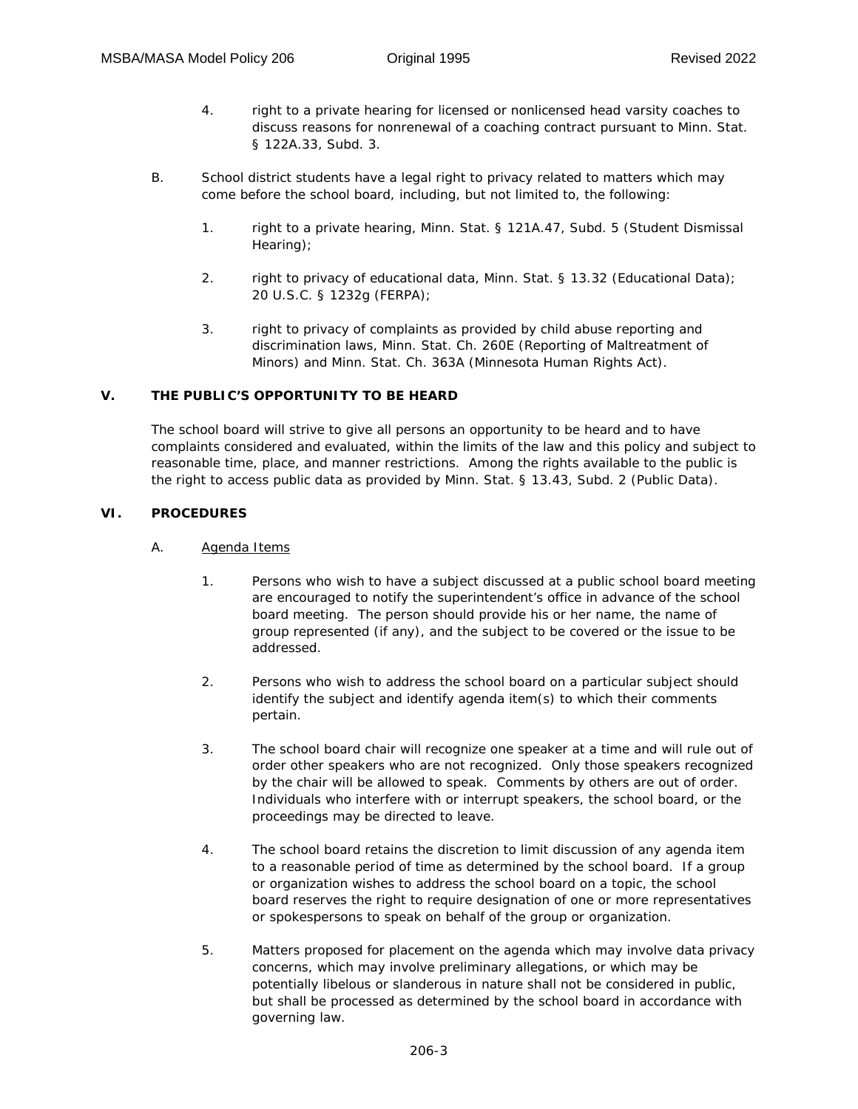- 4. right to a private hearing for licensed or nonlicensed head varsity coaches to discuss reasons for nonrenewal of a coaching contract pursuant to Minn. Stat. § 122A.33, Subd. 3.
- B. School district students have a legal right to privacy related to matters which may come before the school board, including, but not limited to, the following:
	- 1. right to a private hearing, Minn. Stat. § 121A.47, Subd. 5 (Student Dismissal Hearing);
	- 2. right to privacy of educational data, Minn. Stat. § 13.32 (Educational Data); 20 U.S.C. § 1232g (FERPA);
	- 3. right to privacy of complaints as provided by child abuse reporting and discrimination laws, Minn. Stat. Ch. 260E (Reporting of Maltreatment of Minors) and Minn. Stat. Ch. 363A (Minnesota Human Rights Act).

## **V. THE PUBLIC'S OPPORTUNITY TO BE HEARD**

The school board will strive to give all persons an opportunity to be heard and to have complaints considered and evaluated, within the limits of the law and this policy and subject to reasonable time, place, and manner restrictions. Among the rights available to the public is the right to access public data as provided by Minn. Stat. § 13.43, Subd. 2 (Public Data).

#### **VI. PROCEDURES**

## A. Agenda Items

- 1. Persons who wish to have a subject discussed at a public school board meeting are encouraged to notify the superintendent's office in advance of the school board meeting. The person should provide his or her name, the name of group represented (if any), and the subject to be covered or the issue to be addressed.
- 2. Persons who wish to address the school board on a particular subject should identify the subject and identify agenda item(s) to which their comments pertain.
- 3. The school board chair will recognize one speaker at a time and will rule out of order other speakers who are not recognized. Only those speakers recognized by the chair will be allowed to speak. Comments by others are out of order. Individuals who interfere with or interrupt speakers, the school board, or the proceedings may be directed to leave.
- 4. The school board retains the discretion to limit discussion of any agenda item to a reasonable period of time as determined by the school board. If a group or organization wishes to address the school board on a topic, the school board reserves the right to require designation of one or more representatives or spokespersons to speak on behalf of the group or organization.
- 5. Matters proposed for placement on the agenda which may involve data privacy concerns, which may involve preliminary allegations, or which may be potentially libelous or slanderous in nature shall not be considered in public, but shall be processed as determined by the school board in accordance with governing law.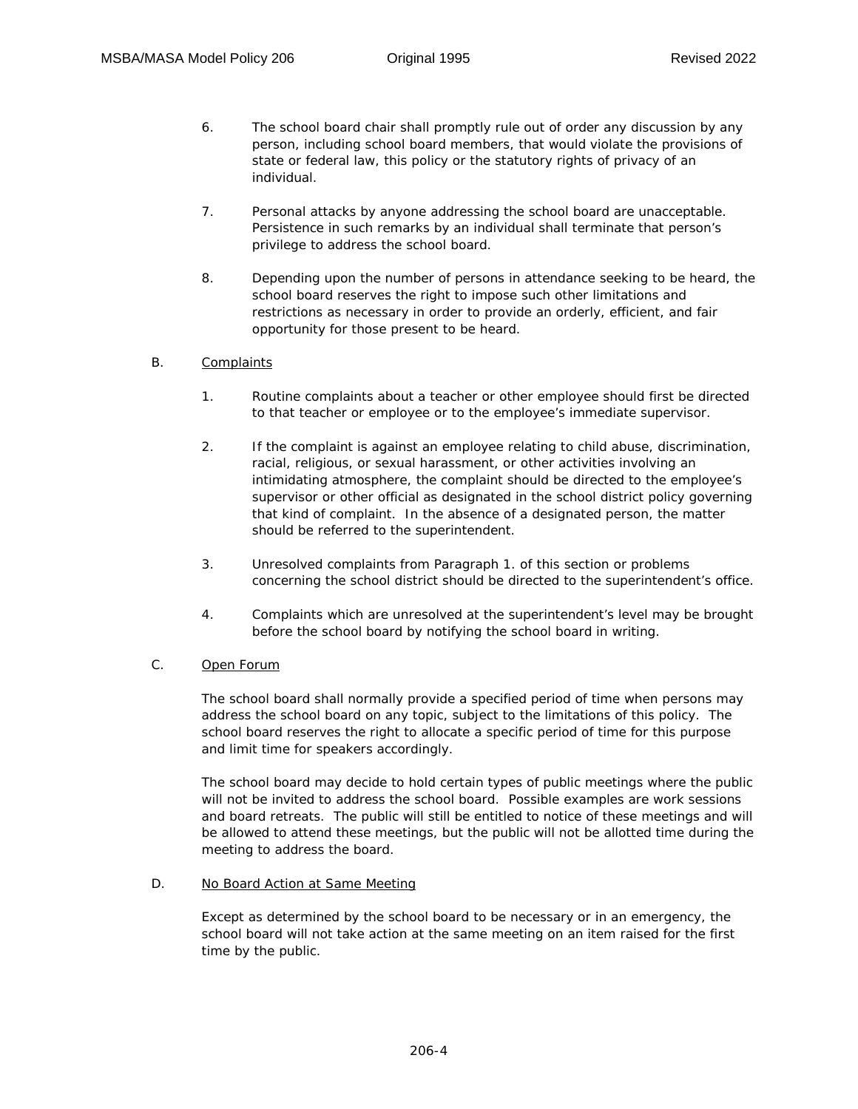- 6. The school board chair shall promptly rule out of order any discussion by any person, including school board members, that would violate the provisions of state or federal law, this policy or the statutory rights of privacy of an individual.
- 7. Personal attacks by anyone addressing the school board are unacceptable. Persistence in such remarks by an individual shall terminate that person's privilege to address the school board.
- 8. Depending upon the number of persons in attendance seeking to be heard, the school board reserves the right to impose such other limitations and restrictions as necessary in order to provide an orderly, efficient, and fair opportunity for those present to be heard.

## B. Complaints

- 1. Routine complaints about a teacher or other employee should first be directed to that teacher or employee or to the employee's immediate supervisor.
- 2. If the complaint is against an employee relating to child abuse, discrimination, racial, religious, or sexual harassment, or other activities involving an intimidating atmosphere, the complaint should be directed to the employee's supervisor or other official as designated in the school district policy governing that kind of complaint. In the absence of a designated person, the matter should be referred to the superintendent.
- 3. Unresolved complaints from Paragraph 1. of this section or problems concerning the school district should be directed to the superintendent's office.
- 4. Complaints which are unresolved at the superintendent's level may be brought before the school board by notifying the school board in writing.

## C. Open Forum

The school board shall normally provide a specified period of time when persons may address the school board on any topic, subject to the limitations of this policy. The school board reserves the right to allocate a specific period of time for this purpose and limit time for speakers accordingly.

The school board may decide to hold certain types of public meetings where the public will not be invited to address the school board. Possible examples are work sessions and board retreats. The public will still be entitled to notice of these meetings and will be allowed to attend these meetings, but the public will not be allotted time during the meeting to address the board.

# D. No Board Action at Same Meeting

Except as determined by the school board to be necessary or in an emergency, the school board will not take action at the same meeting on an item raised for the first time by the public.